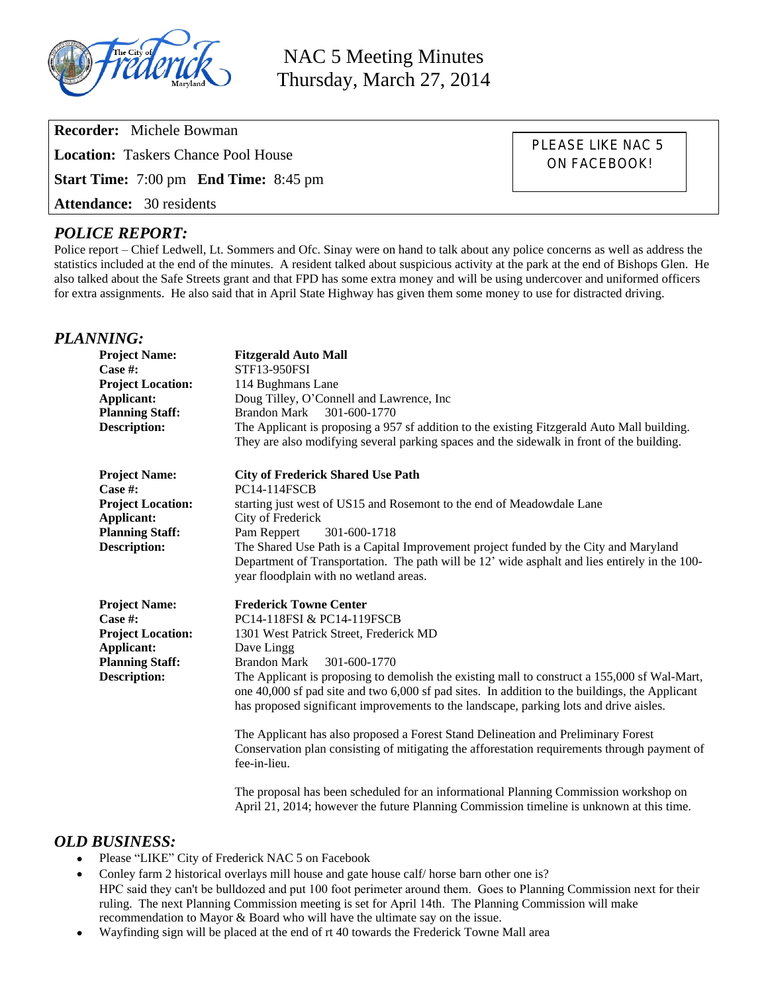

NAC 5 Meeting Minutes Thursday, March 27, 2014

**Recorder:** Michele Bowman **Location:** Taskers Chance Pool House **Start Time:** 7:00 pm **End Time:** 8:45 pm **Attendance:** 30 residents

PLEASE LIKE NAC 5 ON FACEBOOK!

# *POLICE REPORT:*

Police report – Chief Ledwell, Lt. Sommers and Ofc. Sinay were on hand to talk about any police concerns as well as address the statistics included at the end of the minutes. A resident talked about suspicious activity at the park at the end of Bishops Glen. He also talked about the Safe Streets grant and that FPD has some extra money and will be using undercover and uniformed officers for extra assignments. He also said that in April State Highway has given them some money to use for distracted driving.

#### *PLANNING:*

| <b>Project Name:</b><br>Case $#$ :<br><b>Project Location:</b><br>Applicant:<br><b>Planning Staff:</b><br><b>Description:</b> | <b>Fitzgerald Auto Mall</b><br>STF13-950FSI<br>114 Bughmans Lane<br>Doug Tilley, O'Connell and Lawrence, Inc<br>Brandon Mark<br>301-600-1770<br>The Applicant is proposing a 957 sf addition to the existing Fitzgerald Auto Mall building.<br>They are also modifying several parking spaces and the sidewalk in front of the building.                                                                                                                                                                                                                                                                                                                                                                                                                                                                                                        |
|-------------------------------------------------------------------------------------------------------------------------------|-------------------------------------------------------------------------------------------------------------------------------------------------------------------------------------------------------------------------------------------------------------------------------------------------------------------------------------------------------------------------------------------------------------------------------------------------------------------------------------------------------------------------------------------------------------------------------------------------------------------------------------------------------------------------------------------------------------------------------------------------------------------------------------------------------------------------------------------------|
| <b>Project Name:</b><br>Case #:<br><b>Project Location:</b><br>Applicant:<br><b>Planning Staff:</b><br><b>Description:</b>    | <b>City of Frederick Shared Use Path</b><br><b>PC14-114FSCB</b><br>starting just west of US15 and Rosemont to the end of Meadowdale Lane<br>City of Frederick<br>Pam Reppert<br>301-600-1718<br>The Shared Use Path is a Capital Improvement project funded by the City and Maryland<br>Department of Transportation. The path will be 12' wide asphalt and lies entirely in the 100-<br>year floodplain with no wetland areas.                                                                                                                                                                                                                                                                                                                                                                                                                 |
| <b>Project Name:</b><br>Case $#$ :<br><b>Project Location:</b><br>Applicant:<br><b>Planning Staff:</b><br><b>Description:</b> | <b>Frederick Towne Center</b><br>PC14-118FSI & PC14-119FSCB<br>1301 West Patrick Street, Frederick MD<br>Dave Lingg<br>301-600-1770<br><b>Brandon Mark</b><br>The Applicant is proposing to demolish the existing mall to construct a 155,000 sf Wal-Mart,<br>one 40,000 sf pad site and two 6,000 sf pad sites. In addition to the buildings, the Applicant<br>has proposed significant improvements to the landscape, parking lots and drive aisles.<br>The Applicant has also proposed a Forest Stand Delineation and Preliminary Forest<br>Conservation plan consisting of mitigating the afforestation requirements through payment of<br>fee-in-lieu.<br>The proposal has been scheduled for an informational Planning Commission workshop on<br>April 21, 2014; however the future Planning Commission timeline is unknown at this time. |

# *OLD BUSINESS:*

- Please "LIKE" City of Frederick NAC 5 on Facebook
- Conley farm 2 historical overlays mill house and gate house calf/ horse barn other one is? HPC said they can't be bulldozed and put 100 foot perimeter around them. Goes to Planning Commission next for their ruling. The next Planning Commission meeting is set for April 14th. The Planning Commission will make recommendation to Mayor & Board who will have the ultimate say on the issue.
- Wayfinding sign will be placed at the end of rt 40 towards the Frederick Towne Mall area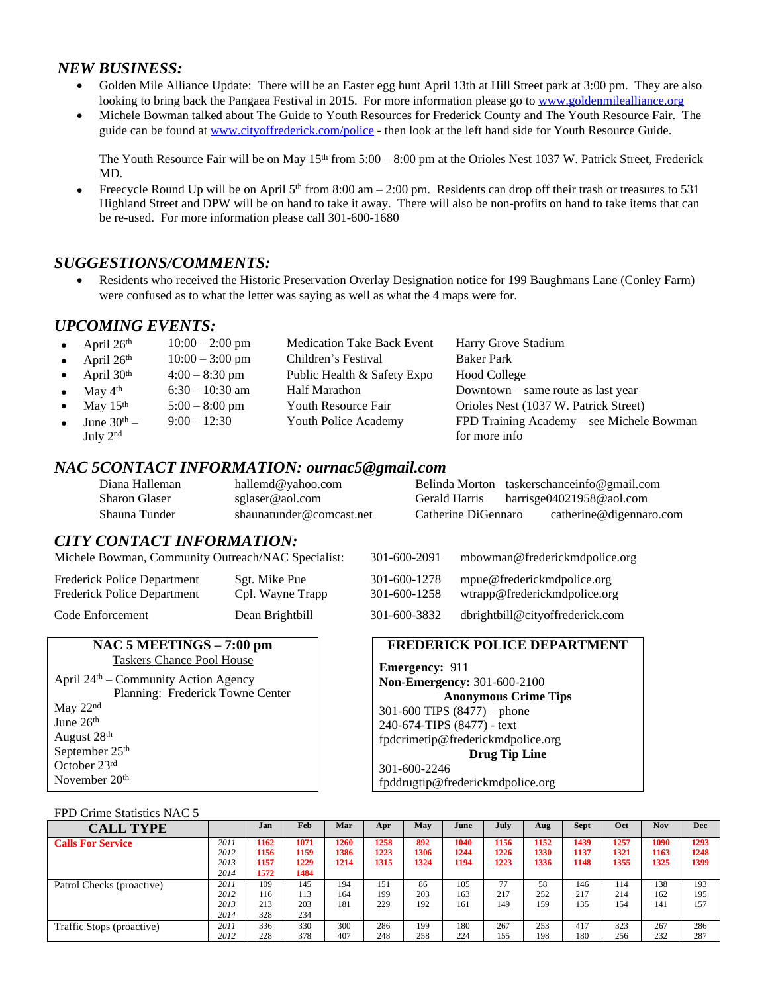## *NEW BUSINESS:*

- Golden Mile Alliance Update: There will be an Easter egg hunt April 13th at Hill Street park at 3:00 pm. They are also looking to bring back the Pangaea Festival in 2015. For more information please go to [www.goldenmilealliance.org](http://www.goldenmilealliance.org)
- Michele Bowman talked about The Guide to Youth Resources for Frederick County and The Youth Resource Fair. The guide can be found at [www.cityoffrederick.com/police](http://www.cityoffrederick.com/police) - then look at the left hand side for Youth Resource Guide.

The Youth Resource Fair will be on May  $15<sup>th</sup>$  from  $5:00 - 8:00$  pm at the Orioles Nest 1037 W. Patrick Street, Frederick MD.

Freecycle Round Up will be on April  $5<sup>th</sup>$  from 8:00 am  $- 2:00$  pm. Residents can drop off their trash or treasures to 531 Highland Street and DPW will be on hand to take it away. There will also be non-profits on hand to take items that can be re-used. For more information please call 301-600-1680

# *SUGGESTIONS/COMMENTS:*

 Residents who received the Historic Preservation Overlay Designation notice for 199 Baughmans Lane (Conley Farm) were confused as to what the letter was saying as well as what the 4 maps were for.

## *UPCOMING EVENTS:*

| • April $26th$                 | $10:00 - 2:00$ pm | <b>Medication Take Back Event</b> | Harry Grove Stadium                       |
|--------------------------------|-------------------|-----------------------------------|-------------------------------------------|
| • April $26th$                 | $10:00 - 3:00$ pm | Children's Festival               | <b>Baker Park</b>                         |
| • April $30th$                 | $4:00 - 8:30$ pm  | Public Health & Safety Expo       | <b>Hood College</b>                       |
| • May $4^{\text{th}}$          | $6:30 - 10:30$ am | Half Marathon                     | Downtown – same route as last year        |
| $\bullet$ May 15 <sup>th</sup> | $5:00 - 8:00$ pm  | <b>Youth Resource Fair</b>        | Orioles Nest (1037 W. Patrick Street)     |
| June $30th$ –                  | $9:00 - 12:30$    | Youth Police Academy              | FPD Training Academy – see Michele Bowman |
| July 2 <sup>nd</sup>           |                   |                                   | for more info                             |

### *NAC 5CONTACT INFORMATION: ournac5@gmail.com*

| Diana Halleman       | hallemd@yahoo.com        |                     | Belinda Morton taskerschanceinfo@gmail.com |
|----------------------|--------------------------|---------------------|--------------------------------------------|
| <b>Sharon Glaser</b> | sglaser@aol.com          | Gerald Harris       | harrisge $04021958@$ aol.com               |
| Shauna Tunder        | shaunatunder@comcast.net | Catherine DiGennaro | catherine@digennaro.com                    |

### *CITY CONTACT INFORMATION:*

Michele Bowman, Community Outreach/NAC Specialist: 301-600-2091 mbowman@frederickmdpolice.org

Frederick Police Department Sgt. Mike Pue Frederick Police Department Cpl. Wayne Trapp

| 301-600-2091                 | mbowman@frederickmdpolice.org                              |
|------------------------------|------------------------------------------------------------|
| 301-600-1278<br>301-600-1258 | mpue@frederickmdpolice.org<br>wtrapp@frederickmdpolice.org |
| 301-600-3832                 | dbrightbill@cityoffrederick.com                            |

#### **NAC 5 MEETINGS – 7:00 pm** Taskers Chance Pool House

Code Enforcement Dean Brightbill

April 24th – Community Action Agency Planning: Frederick Towne Center May 22nd June 26<sup>th</sup> August 28th September 25<sup>th</sup> October 23rd November 20th

### **FREDERICK POLICE DEPARTMENT**

**Emergency:** 911 **Non-Emergency:** 301-600-2100 **Anonymous Crime Tips** 301-600 TIPS (8477) – phone 240-674-TIPS (8477) - text [fpdcrimetip@frederickmdpolice.org](mailto:fpdcrimetip@frederickmdpolice.org) **Drug Tip Line** 301-600-2246

fpddrugtip@frederickmdpolice.org

#### FPD Crime Statistics NAC 5

| <b>CALL TYPE</b>          |      | .Ian | Feb  | Mar  | Apr  | May  | June | July | Aug  | <b>Sept</b> | Oct  | <b>Nov</b> | Dec  |
|---------------------------|------|------|------|------|------|------|------|------|------|-------------|------|------------|------|
| <b>Calls For Service</b>  | 2011 | 1162 | 1071 | 1260 | 1258 | 892  | 1040 | 1156 | 1152 | 1439        | 1257 | 1090       | 1293 |
|                           | 2012 | 1156 | 1159 | 1386 | 1223 | 1306 | 1244 | 1226 | 1330 | 1137        | 1321 | 1163       | 1248 |
|                           | 2013 | 1157 | 1229 | 1214 | 1315 | 1324 | 1194 | 1223 | 1336 | 1148        | 1355 | 1325       | 1399 |
|                           | 2014 | 1572 | 1484 |      |      |      |      |      |      |             |      |            |      |
| Patrol Checks (proactive) | 2011 | 109  | 145  | 194  | 151  | 86   | 105  | 77   | 58   | 146         | 114  | 138        | 193  |
|                           | 2012 | 116  | 113  | 164  | 199  | 203  | 163  | 217  | 252  | 217         | 214  | 162        | 195  |
|                           | 2013 | 213  | 203  | 181  | 229  | 192  | 161  | 149  | 159  | 135         | 154  | 141        | 157  |
|                           | 2014 | 328  | 234  |      |      |      |      |      |      |             |      |            |      |
| Traffic Stops (proactive) | 2011 | 336  | 330  | 300  | 286  | 199  | 180  | 267  | 253  | 417         | 323  | 267        | 286  |
|                           | 2012 | 228  | 378  | 407  | 248  | 258  | 224  | 155  | 198  | 180         | 256  | 232        | 287  |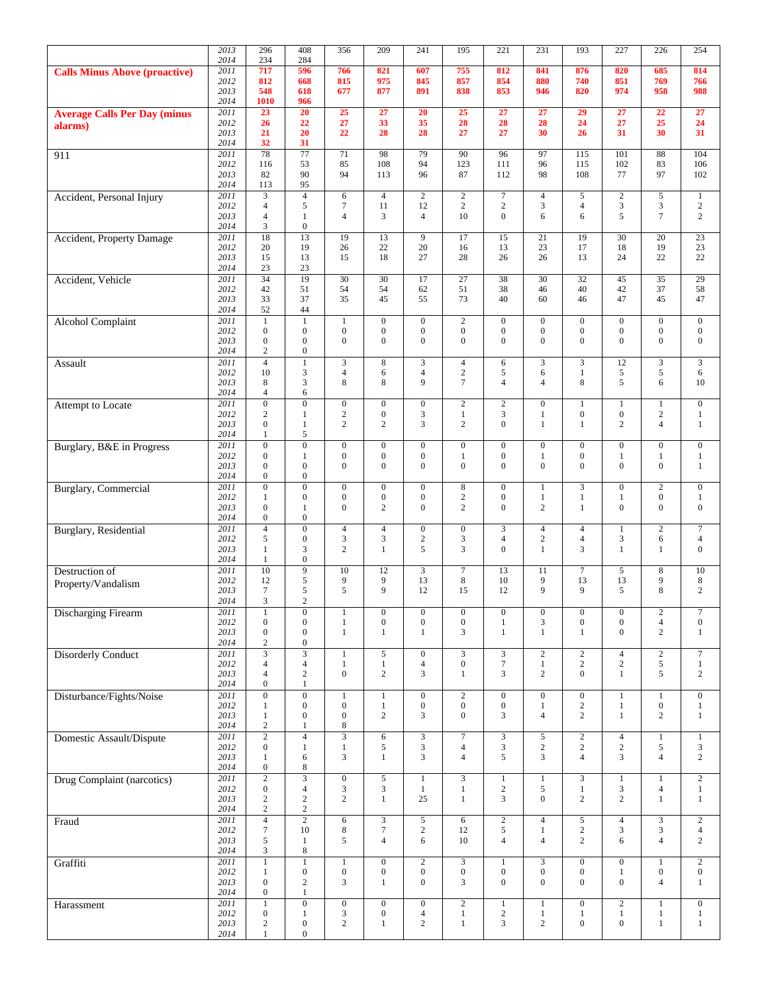|                                      | 2013         | 296                                       | 408                                  | 356                                       | 209                                | 241                                | 195                                | 221                                  | 231                                | 193                                | 227                                | $\overline{226}$                   | 254                                |
|--------------------------------------|--------------|-------------------------------------------|--------------------------------------|-------------------------------------------|------------------------------------|------------------------------------|------------------------------------|--------------------------------------|------------------------------------|------------------------------------|------------------------------------|------------------------------------|------------------------------------|
|                                      | 2014<br>2011 | 234<br>717                                | 284<br>596                           | 766                                       | 821                                | 607                                | 755                                | 812                                  | 841                                | 876                                | 820                                | 685                                | 814                                |
| <b>Calls Minus Above (proactive)</b> | 2012         | 812                                       | 668                                  | 815                                       | 975                                | 845                                | 857                                | 854                                  | 880                                | 740                                | 851                                | 769                                | 766                                |
|                                      | 2013         | 548                                       | 618                                  | 677                                       | 877                                | 891                                | 838                                | 853                                  | 946                                | 820                                | 974                                | 958                                | 988                                |
| <b>Average Calls Per Day (minus</b>  | 2014<br>2011 | 1010<br>23                                | 966<br>20                            | $\overline{25}$                           | 27                                 | 20                                 | 25                                 | 27                                   | 27                                 | 29                                 | 27                                 | 22                                 | 27                                 |
| alarms)                              | 2012         | 26                                        | 22                                   | 27                                        | 33                                 | 35                                 | 28                                 | 28                                   | 28                                 | 24                                 | 27                                 | 25                                 | 24                                 |
|                                      | 2013<br>2014 | 21<br>32                                  | 20<br>31                             | 22                                        | 28                                 | 28                                 | 27                                 | 27                                   | 30                                 | 26                                 | 31                                 | 30                                 | 31                                 |
| 911                                  | 2011         | $\overline{78}$                           | $\overline{77}$                      | 71                                        | 98                                 | 79                                 | 90                                 | 96                                   | 97                                 | 115                                | 101                                | 88                                 | 104                                |
|                                      | 2012         | 116                                       | 53                                   | 85                                        | 108                                | 94                                 | 123                                | 111                                  | 96                                 | 115                                | 102                                | 83                                 | 106                                |
|                                      | 2013<br>2014 | 82<br>113                                 | 90<br>95                             | 94                                        | 113                                | 96                                 | 87                                 | 112                                  | 98                                 | 108                                | 77                                 | 97                                 | 102                                |
| Accident, Personal Injury            | 2011         | 3                                         | $\overline{4}$                       | 6                                         | $\overline{4}$                     | $\overline{c}$                     | $\overline{2}$                     | $\boldsymbol{7}$                     | $\overline{4}$                     | 5                                  | $\overline{c}$                     | 5                                  | $\mathbf{1}$                       |
|                                      | 2012         | $\overline{4}$                            | $\sqrt{5}$                           | $\overline{7}$                            | 11                                 | 12                                 | $\sqrt{2}$                         | $\overline{c}$                       | 3                                  | $\overline{4}$                     | 3                                  | $\mathfrak{Z}$                     | $\overline{c}$                     |
|                                      | 2013<br>2014 | $\overline{4}$<br>3                       | $\mathbf{1}$<br>$\boldsymbol{0}$     | $\overline{4}$                            | 3                                  | $\overline{4}$                     | 10                                 | $\theta$                             | 6                                  | 6                                  | 5                                  | $\tau$                             | $\overline{c}$                     |
| Accident, Property Damage            | 2011         | 18                                        | 13                                   | 19                                        | 13                                 | 9                                  | 17                                 | 15                                   | 21                                 | 19                                 | 30                                 | 20                                 | 23                                 |
|                                      | 2012<br>2013 | 20<br>15                                  | 19<br>13                             | 26<br>15                                  | 22<br>18                           | 20<br>27                           | 16<br>28                           | 13<br>26                             | 23<br>26                           | 17<br>13                           | 18<br>24                           | 19<br>22                           | 23<br>22                           |
|                                      | 2014         | 23                                        | 23                                   |                                           |                                    |                                    |                                    |                                      |                                    |                                    |                                    |                                    |                                    |
| Accident, Vehicle                    | 2011         | $\overline{34}$                           | 19                                   | $\overline{30}$                           | $\overline{30}$                    | 17                                 | $\overline{27}$                    | 38                                   | $\overline{30}$                    | $\overline{32}$                    | 45                                 | $\overline{35}$                    | $\overline{29}$                    |
|                                      | 2012<br>2013 | 42<br>33                                  | 51<br>37                             | 54<br>35                                  | 54<br>45                           | 62<br>55                           | 51<br>73                           | 38<br>40                             | 46<br>60                           | 40<br>46                           | 42<br>47                           | 37<br>45                           | 58<br>47                           |
|                                      | 2014         | 52                                        | 44                                   |                                           |                                    |                                    |                                    |                                      |                                    |                                    |                                    |                                    |                                    |
| <b>Alcohol Complaint</b>             | 2011<br>2012 | $\overline{1}$<br>$\boldsymbol{0}$        | $\overline{1}$<br>$\boldsymbol{0}$   | $\mathbf{1}$<br>$\boldsymbol{0}$          | $\overline{0}$<br>$\mathbf{0}$     | $\overline{0}$<br>$\boldsymbol{0}$ | $\overline{2}$<br>$\boldsymbol{0}$ | $\overline{0}$<br>$\mathbf{0}$       | $\overline{0}$<br>$\boldsymbol{0}$ | $\overline{0}$<br>$\boldsymbol{0}$ | $\overline{0}$<br>$\boldsymbol{0}$ | $\overline{0}$<br>$\mathbf{0}$     | $\overline{0}$<br>$\boldsymbol{0}$ |
|                                      | 2013         | $\boldsymbol{0}$                          | $\boldsymbol{0}$                     | $\mathbf{0}$                              | $\mathbf{0}$                       | $\mathbf{0}$                       | $\mathbf{0}$                       | $\mathbf{0}$                         | $\overline{0}$                     | $\mathbf{0}$                       | $\overline{0}$                     | $\mathbf{0}$                       | $\mathbf{0}$                       |
|                                      | 2014         | $\sqrt{2}$                                | $\boldsymbol{0}$                     |                                           |                                    |                                    |                                    |                                      |                                    |                                    |                                    |                                    |                                    |
| Assault                              | 2011<br>2012 | $\overline{4}$<br>10                      | $\mathbf{1}$<br>3                    | $\overline{\mathbf{3}}$<br>$\overline{4}$ | $\overline{8}$<br>6                | 3<br>$\overline{4}$                | $\overline{4}$<br>$\sqrt{2}$       | 6<br>5                               | $\overline{\mathbf{3}}$<br>6       | 3<br>$\mathbf{1}$                  | $\overline{12}$<br>5               | $\overline{3}$<br>5                | $\overline{3}$<br>6                |
|                                      | 2013         | 8                                         | 3                                    | 8                                         | 8                                  | 9                                  | $\tau$                             | $\overline{4}$                       | $\overline{4}$                     | 8                                  | 5                                  | 6                                  | 10                                 |
|                                      | 2014         | $\overline{4}$                            | 6                                    |                                           |                                    |                                    |                                    |                                      |                                    |                                    |                                    |                                    |                                    |
| Attempt to Locate                    | 2011<br>2012 | $\overline{0}$<br>$\overline{\mathbf{c}}$ | $\overline{0}$<br>$\mathbf{1}$       | $\overline{0}$<br>$\overline{c}$          | $\overline{0}$<br>$\boldsymbol{0}$ | $\overline{0}$<br>3                | $\overline{2}$<br>$\mathbf{1}$     | $\overline{2}$<br>3                  | $\overline{0}$<br>$\mathbf{1}$     | $\mathbf{1}$<br>$\boldsymbol{0}$   | $\mathbf{1}$<br>$\boldsymbol{0}$   | $\mathbf{1}$<br>$\sqrt{2}$         | $\overline{0}$<br>$\mathbf{1}$     |
|                                      | 2013         | $\boldsymbol{0}$                          | 1                                    | $\overline{c}$                            | $\overline{2}$                     | 3                                  | $\overline{c}$                     | $\mathbf{0}$                         | 1                                  | $\mathbf{1}$                       | $\overline{c}$                     | $\overline{4}$                     | 1                                  |
|                                      | 2014<br>2011 | 1<br>$\overline{0}$                       | 5<br>$\overline{0}$                  | $\overline{0}$                            | $\mathbf{0}$                       | $\overline{0}$                     | $\boldsymbol{0}$                   | $\mathbf{0}$                         | $\overline{0}$                     | $\boldsymbol{0}$                   | $\overline{0}$                     | $\mathbf{0}$                       | $\mathbf{0}$                       |
| Burglary, B&E in Progress            | 2012         | $\boldsymbol{0}$                          | $\mathbf{1}$                         | $\boldsymbol{0}$                          | $\boldsymbol{0}$                   | $\boldsymbol{0}$                   | $\mathbf{1}$                       | $\boldsymbol{0}$                     | $\mathbf{1}$                       | $\boldsymbol{0}$                   | $\mathbf{1}$                       | $\mathbf{1}$                       | $\mathbf{1}$                       |
|                                      | 2013         | $\boldsymbol{0}$                          | $\mathbf{0}$                         | $\mathbf{0}$                              | $\mathbf{0}$                       | $\overline{0}$                     | $\mathbf{0}$                       | $\Omega$                             | $\overline{0}$                     | $\mathbf{0}$                       | $\Omega$                           | $\mathbf{0}$                       | $\mathbf{1}$                       |
| <b>Burglary</b> , Commercial         | 2014<br>2011 | $\boldsymbol{0}$<br>$\overline{0}$        | $\boldsymbol{0}$<br>$\overline{0}$   | $\boldsymbol{0}$                          | $\boldsymbol{0}$                   | $\overline{0}$                     | 8                                  | $\mathbf{0}$                         | $\mathbf{1}$                       | 3                                  | $\overline{0}$                     | $\overline{2}$                     | $\boldsymbol{0}$                   |
|                                      | 2012         | $\mathbf{1}$                              | $\mathbf{0}$                         | $\boldsymbol{0}$                          | $\boldsymbol{0}$                   | $\mathbf{0}$                       | $\sqrt{2}$                         | $\boldsymbol{0}$                     | $\mathbf{1}$                       | $\mathbf{1}$                       | 1                                  | $\mathbf{0}$                       | $\mathbf{1}$                       |
|                                      | 2013<br>2014 | $\boldsymbol{0}$<br>$\boldsymbol{0}$      | $\mathbf{1}$<br>$\boldsymbol{0}$     | $\mathbf{0}$                              | $\overline{c}$                     | $\mathbf{0}$                       | 2                                  | $\mathbf{0}$                         | $\overline{c}$                     | $\mathbf{1}$                       | $\mathbf{0}$                       | $\mathbf{0}$                       | $\mathbf{0}$                       |
| Burglary, Residential                | 2011         | $\overline{4}$                            | $\boldsymbol{0}$                     | $\overline{4}$                            | $\overline{4}$                     | $\overline{0}$                     | $\boldsymbol{0}$                   | 3                                    | $\overline{4}$                     | $\overline{4}$                     | 1                                  | $\mathbf{2}$                       | $\tau$                             |
|                                      | 2012         | 5                                         | $\boldsymbol{0}$                     | $\mathfrak{Z}$<br>$\overline{2}$          | $\mathfrak{Z}$                     | $\boldsymbol{2}$                   | 3                                  | $\overline{4}$<br>$\Omega$           | $\overline{c}$                     | $\overline{4}$                     | 3                                  | 6                                  | $\overline{4}$<br>$\overline{0}$   |
|                                      | 2013<br>2014 | $\mathbf{1}$<br>$\mathbf{1}$              | 3<br>$\boldsymbol{0}$                |                                           | $\mathbf{1}$                       | 5                                  | 3                                  |                                      | $\mathbf{1}$                       | 3                                  | $\mathbf{1}$                       | 1                                  |                                    |
| Destruction of                       | 2011         | 10                                        | $\overline{9}$                       | 10                                        | 12                                 | 3                                  | $\overline{7}$                     | 13                                   | 11                                 | $\boldsymbol{7}$                   | 5                                  | $\,8\,$                            | $10\,$                             |
| Property/Vandalism                   | 2012<br>2013 | 12<br>$\tau$                              | 5<br>5                               | 9<br>5                                    | 9<br>9                             | 13<br>12                           | $\,$ 8 $\,$<br>15                  | 10<br>12                             | 9<br>9                             | 13<br>9                            | 13<br>5                            | $\overline{9}$<br>8                | $\,8\,$<br>$\mathbf{2}$            |
|                                      | 2014         | 3                                         | 2                                    |                                           |                                    |                                    |                                    |                                      |                                    |                                    |                                    |                                    |                                    |
| <b>Discharging Firearm</b>           | 2011         | $\mathbf{1}$                              | $\boldsymbol{0}$                     | 1                                         | $\boldsymbol{0}$                   | $\boldsymbol{0}$                   | $\boldsymbol{0}$                   | $\boldsymbol{0}$                     | $\boldsymbol{0}$                   | $\boldsymbol{0}$                   | $\boldsymbol{0}$                   | $\overline{c}$                     | $\tau$                             |
|                                      | 2012<br>2013 | $\overline{0}$<br>$\overline{0}$          | $\boldsymbol{0}$<br>$\boldsymbol{0}$ | $\mathbf{1}$<br>$\mathbf{1}$              | $\boldsymbol{0}$<br>$\mathbf{1}$   | $\boldsymbol{0}$<br>1              | $\boldsymbol{0}$<br>3              | $\mathbf{1}$<br>1                    | $\mathfrak{Z}$<br>$\mathbf{1}$     | $\boldsymbol{0}$<br>$\mathbf{1}$   | $\boldsymbol{0}$<br>$\overline{0}$ | $\overline{4}$<br>2                | $\boldsymbol{0}$<br>$\mathbf{1}$   |
|                                      | 2014         | $\sqrt{2}$                                | $\boldsymbol{0}$                     |                                           |                                    |                                    |                                    |                                      |                                    |                                    |                                    |                                    |                                    |
| <b>Disorderly Conduct</b>            | 2011<br>2012 | $\overline{3}$<br>$\overline{4}$          | $\overline{3}$<br>$\overline{4}$     | $\mathbf{1}$<br>$\mathbf{1}$              | $\overline{5}$<br>$\mathbf{1}$     | $\overline{0}$<br>$\overline{4}$   | $\overline{3}$<br>$\boldsymbol{0}$ | $\overline{3}$<br>$\tau$             | $\overline{2}$<br>$\mathbf{1}$     | $\overline{2}$<br>$\overline{c}$   | $\overline{4}$<br>$\overline{c}$   | $\overline{2}$<br>5                | $\overline{7}$<br>$\mathbf{1}$     |
|                                      | 2013         | $\overline{4}$                            | $\sqrt{2}$                           | $\overline{0}$                            | $\overline{c}$                     | 3                                  | $\mathbf{1}$                       | $\mathfrak{Z}$                       | $\overline{2}$                     | $\mathbf{0}$                       | $\mathbf{1}$                       | 5                                  | $\overline{c}$                     |
|                                      | 2014         | $\boldsymbol{0}$                          | $\mathbf{1}$                         |                                           |                                    |                                    |                                    |                                      |                                    |                                    |                                    |                                    |                                    |
| Disturbance/Fights/Noise             | 2011<br>2012 | $\overline{0}$<br>$\mathbf{1}$            | $\boldsymbol{0}$<br>$\boldsymbol{0}$ | $\mathbf{1}$<br>$\boldsymbol{0}$          | $\mathbf{1}$<br>$\mathbf{1}$       | $\boldsymbol{0}$<br>$\overline{0}$ | $\overline{2}$<br>$\boldsymbol{0}$ | $\mathbf{0}$<br>$\boldsymbol{0}$     | $\mathbf{0}$<br>$\mathbf{1}$       | $\boldsymbol{0}$<br>$\overline{2}$ | $\mathbf{1}$<br>$\mathbf{1}$       | $\mathbf{1}$<br>$\boldsymbol{0}$   | $\mathbf{0}$<br>$\mathbf{1}$       |
|                                      | 2013         | $\,1$                                     | $\boldsymbol{0}$                     | $\boldsymbol{0}$                          | $\mathbf{2}$                       | 3                                  | $\mathbf{0}$                       | 3                                    | $\overline{4}$                     | $\overline{c}$                     | $\mathbf{1}$                       | $\overline{c}$                     | $\mathbf{1}$                       |
| <b>Domestic Assault/Dispute</b>      | 2014<br>2011 | $\overline{c}$<br>$\overline{2}$          | $\mathbf{1}$<br>$\overline{4}$       | 8<br>$\overline{3}$                       | $\sqrt{6}$                         | $\mathfrak{Z}$                     | $\overline{7}$                     | $\sqrt{3}$                           | 5                                  | $\overline{2}$                     | $\overline{4}$                     | $\mathbf{1}$                       | $\mathbf{1}$                       |
|                                      | 2012         | $\boldsymbol{0}$                          | $\mathbf{1}$                         | $\mathbf{1}$                              | 5                                  | 3                                  | $\overline{4}$                     | $\sqrt{3}$                           | $\sqrt{2}$                         | $\overline{c}$                     | $\overline{c}$                     | 5                                  | 3                                  |
|                                      | 2013<br>2014 | $\mathbf{1}$<br>$\boldsymbol{0}$          | 6<br>$\,8\,$                         | 3                                         | $\mathbf{1}$                       | 3                                  | $\overline{4}$                     | 5                                    | 3                                  | $\overline{4}$                     | $\overline{3}$                     | $\overline{4}$                     | $\mathbf{2}$                       |
| Drug Complaint (narcotics)           | 2011         | $\overline{2}$                            | $\overline{\mathbf{3}}$              | $\mathbf{0}$                              | $\sqrt{5}$                         | $\mathbf{1}$                       | $\mathfrak{Z}$                     | $\mathbf{1}$                         | $\mathbf{1}$                       | 3                                  | $\mathbf{1}$                       | $\mathbf{1}$                       | $\sqrt{2}$                         |
|                                      | 2012         | $\boldsymbol{0}$                          | $\overline{4}$                       | $\mathfrak{Z}$                            | 3                                  | $\mathbf{1}$                       | $\mathbf{1}$                       | $\sqrt{2}$                           | 5                                  | $1\,$                              | 3                                  | $\overline{4}$                     | $\mathbf{1}$                       |
|                                      | 2013<br>2014 | $\overline{c}$<br>$\overline{c}$          | $\sqrt{2}$<br>$\overline{c}$         | $\overline{c}$                            | $\mathbf{1}$                       | 25                                 | $\mathbf{1}$                       | 3                                    | $\overline{0}$                     | $\overline{c}$                     | $\overline{c}$                     | $\mathbf{1}$                       | $\mathbf{1}$                       |
| Fraud                                | 2011         | $\overline{4}$                            | $\overline{2}$                       | 6                                         | $\overline{3}$                     | 5                                  | 6                                  | $\overline{2}$                       | $\overline{4}$                     | 5                                  | $\overline{4}$                     | $\overline{3}$                     | $\overline{2}$                     |
|                                      | 2012         | $\tau$                                    | $10\,$                               | 8                                         | $\boldsymbol{7}$<br>$\overline{4}$ | $\overline{c}$                     | 12                                 | $\mathfrak{S}$                       | $\mathbf{1}$<br>$\overline{4}$     | $\mathbf{2}$                       | 3                                  | $\mathfrak{Z}$                     | $\overline{4}$                     |
|                                      | 2013<br>2014 | 5<br>3                                    | $\mathbf{1}$<br>$\,8\,$              | 5                                         |                                    | 6                                  | 10                                 | $\overline{4}$                       |                                    | 2                                  | 6                                  | $\overline{4}$                     | $\overline{c}$                     |
| Graffiti                             | 2011         | $\mathbf{1}$                              | $\overline{1}$                       | $\mathbf{1}$                              | $\overline{0}$                     | $\overline{c}$                     | $\overline{3}$                     | $\mathbf{1}$                         | $\overline{3}$                     | $\overline{0}$                     | $\overline{0}$                     | $\mathbf{1}$                       | $\overline{2}$                     |
|                                      | 2012<br>2013 | $\mathbf{1}$<br>$\overline{0}$            | $\boldsymbol{0}$<br>$\sqrt{2}$       | $\boldsymbol{0}$<br>3                     | $\boldsymbol{0}$<br>$\mathbf{1}$   | $\overline{0}$<br>$\mathbf{0}$     | $\boldsymbol{0}$<br>3              | $\boldsymbol{0}$<br>$\boldsymbol{0}$ | $\boldsymbol{0}$<br>$\mathbf{0}$   | $\boldsymbol{0}$<br>$\mathbf{0}$   | 1<br>$\boldsymbol{0}$              | $\boldsymbol{0}$<br>$\overline{4}$ | $\boldsymbol{0}$<br>$\mathbf{1}$   |
|                                      | 2014         | $\boldsymbol{0}$                          | $\mathbf{1}$                         |                                           |                                    |                                    |                                    |                                      |                                    |                                    |                                    |                                    |                                    |
| Harassment                           | 2011         | $\overline{1}$                            | $\overline{0}$                       | $\boldsymbol{0}$                          | $\overline{0}$                     | $\overline{0}$                     | $\overline{2}$                     | $1\,$                                | $\mathbf{1}$                       | $\overline{0}$                     | $\overline{c}$                     | $\mathbf{1}$                       | $\overline{0}$                     |
|                                      | 2012<br>2013 | $\boldsymbol{0}$<br>$\overline{c}$        | -1<br>$\boldsymbol{0}$               | 3<br>$\overline{c}$                       | $\boldsymbol{0}$<br>$\mathbf{1}$   | $\overline{4}$<br>$\overline{c}$   | $\mathbf{1}$<br>$\mathbf{1}$       | $\overline{c}$<br>3                  | $\mathbf{1}$<br>$\overline{c}$     | $\mathbf{1}$<br>$\boldsymbol{0}$   | $\mathbf{1}$<br>$\boldsymbol{0}$   | $\mathbf{1}$<br>$\mathbf{1}$       | $\mathbf{1}$<br>$\mathbf{1}$       |
|                                      | 2014         | $\mathbf{1}$                              | $\boldsymbol{0}$                     |                                           |                                    |                                    |                                    |                                      |                                    |                                    |                                    |                                    |                                    |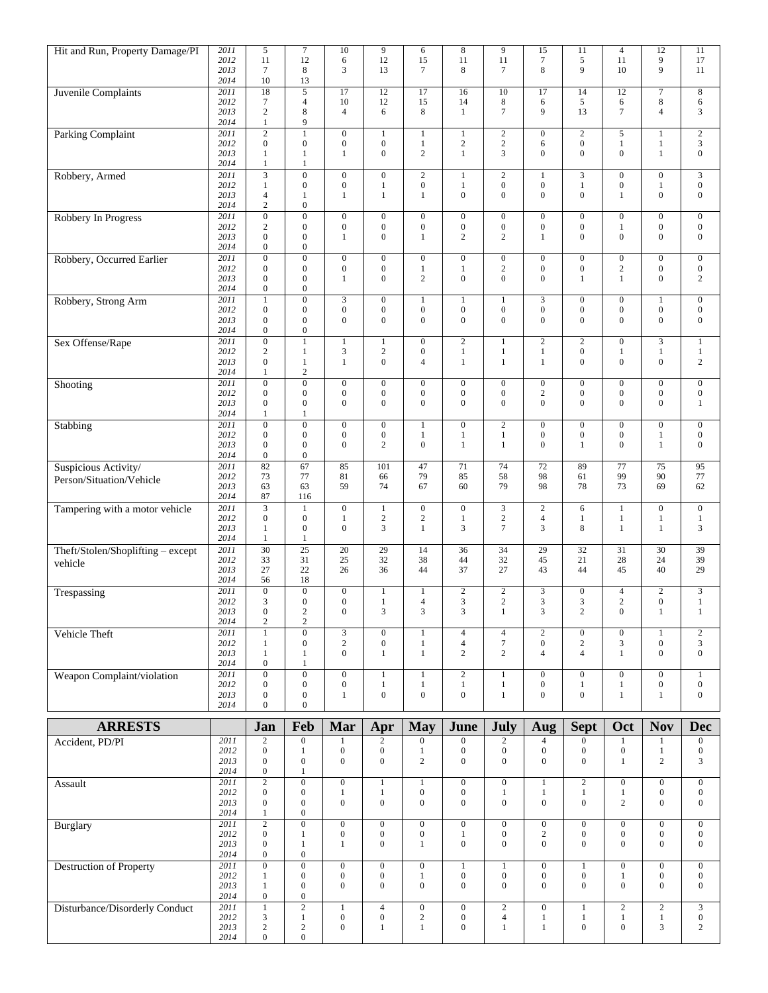| Hit and Run, Property Damage/PI                  | 2011<br>2012 | 5<br>11                              | 7<br>12                                   | 10<br>6                              | 9<br>12                            | 6<br>15                              | $\,8\,$<br>11                               | 9<br>11                              | 15<br>$\boldsymbol{7}$               | 11<br>5                              | $\overline{4}$<br>11                 | 12<br>9                              | 11<br>17                                    |
|--------------------------------------------------|--------------|--------------------------------------|-------------------------------------------|--------------------------------------|------------------------------------|--------------------------------------|---------------------------------------------|--------------------------------------|--------------------------------------|--------------------------------------|--------------------------------------|--------------------------------------|---------------------------------------------|
|                                                  | 2013<br>2014 | $\tau$<br>10                         | 8<br>13                                   | 3                                    | 13                                 | 7                                    | 8                                           | 7                                    | 8                                    | 9                                    | 10                                   | 9                                    | 11                                          |
| Juvenile Complaints                              | 2011<br>2012 | 18<br>$\boldsymbol{7}$               | $\overline{\mathbf{5}}$<br>$\overline{4}$ | 17<br>10                             | 12<br>12                           | 17<br>15                             | 16<br>14                                    | 10<br>$\,8\,$                        | 17<br>6                              | 14<br>5                              | 12<br>6                              | $\tau$<br>8                          | 8<br>6                                      |
|                                                  | 2013<br>2014 | $\mathbf{2}$<br>$\,1$                | $\,$ 8 $\,$<br>9                          | $\overline{4}$                       | 6                                  | 8                                    | $\mathbf{1}$                                | $7\phantom{.0}$                      | 9                                    | 13                                   | $\overline{7}$                       | $\overline{4}$                       | 3                                           |
| <b>Parking Complaint</b>                         | 2011<br>2012 | $\overline{2}$<br>$\boldsymbol{0}$   | $\mathbf{1}$<br>$\boldsymbol{0}$          | $\boldsymbol{0}$<br>$\boldsymbol{0}$ | $\mathbf{1}$<br>$\overline{0}$     | 1<br>$\mathbf{1}$                    | $\,1$<br>$\sqrt{2}$                         | $\sqrt{2}$<br>$\sqrt{2}$             | $\boldsymbol{0}$<br>6                | $\sqrt{2}$<br>$\boldsymbol{0}$       | 5<br>$\mathbf{1}$                    | $\mathbf{1}$<br>$\mathbf{1}$         | $\sqrt{2}$<br>$\mathfrak{Z}$                |
|                                                  | 2013<br>2014 | $\mathbf{1}$<br>$\mathbf{1}$         | $\mathbf{1}$<br>1                         | $\mathbf{1}$                         | $\mathbf{0}$                       | $\overline{2}$                       | $\mathbf{1}$                                | 3                                    | $\mathbf{0}$                         | $\mathbf{0}$                         | $\boldsymbol{0}$                     | $\mathbf{1}$                         | $\boldsymbol{0}$                            |
| Robbery, Armed                                   | 2011<br>2012 | $\overline{3}$<br>$\mathbf{1}$       | $\overline{0}$<br>$\boldsymbol{0}$        | $\boldsymbol{0}$<br>$\boldsymbol{0}$ | $\mathbf{0}$<br>$\mathbf{1}$       | $\overline{c}$<br>$\boldsymbol{0}$   | $\mathbf{1}$<br>$\mathbf{1}$                | $\sqrt{2}$<br>$\boldsymbol{0}$       | $\mathbf{1}$<br>$\boldsymbol{0}$     | 3<br>$\mathbf{1}$                    | $\boldsymbol{0}$<br>$\boldsymbol{0}$ | $\overline{0}$<br>$\mathbf{1}$       | 3<br>$\boldsymbol{0}$                       |
|                                                  | 2013<br>2014 | $\overline{4}$<br>$\sqrt{2}$         | $\mathbf{1}$<br>$\boldsymbol{0}$          | $\mathbf{1}$                         | $\mathbf{1}$                       | $\mathbf{1}$                         | $\boldsymbol{0}$                            | $\boldsymbol{0}$                     | $\overline{0}$                       | $\boldsymbol{0}$                     | $\mathbf{1}$                         | $\boldsymbol{0}$                     | $\boldsymbol{0}$                            |
| Robbery In Progress                              | 2011<br>2012 | $\boldsymbol{0}$                     | $\overline{0}$<br>$\boldsymbol{0}$        | $\boldsymbol{0}$<br>$\boldsymbol{0}$ | $\boldsymbol{0}$                   | $\boldsymbol{0}$<br>$\boldsymbol{0}$ | $\boldsymbol{0}$<br>$\boldsymbol{0}$        | $\boldsymbol{0}$<br>$\boldsymbol{0}$ | $\boldsymbol{0}$<br>$\boldsymbol{0}$ | $\boldsymbol{0}$<br>$\boldsymbol{0}$ | $\boldsymbol{0}$<br>1                | $\overline{0}$<br>$\boldsymbol{0}$   | $\boldsymbol{0}$<br>$\boldsymbol{0}$        |
|                                                  | 2013         | $\boldsymbol{2}$<br>$\boldsymbol{0}$ | $\boldsymbol{0}$                          | $\mathbf{1}$                         | $\boldsymbol{0}$<br>$\overline{0}$ | $\mathbf{1}$                         | 2                                           | $\mathbf{2}$                         | $\mathbf{1}$                         | $\mathbf{0}$                         | $\mathbf{0}$                         | $\overline{0}$                       | $\boldsymbol{0}$                            |
| Robbery, Occurred Earlier                        | 2014<br>2011 | $\boldsymbol{0}$<br>$\boldsymbol{0}$ | $\boldsymbol{0}$<br>$\boldsymbol{0}$      | $\boldsymbol{0}$                     | $\mathbf{0}$                       | $\mathbf{0}$                         | $\boldsymbol{0}$                            | $\boldsymbol{0}$                     | $\boldsymbol{0}$                     | $\boldsymbol{0}$                     | $\boldsymbol{0}$                     | $\overline{0}$                       | $\boldsymbol{0}$                            |
|                                                  | 2012<br>2013 | $\boldsymbol{0}$<br>$\boldsymbol{0}$ | $\boldsymbol{0}$<br>$\boldsymbol{0}$      | $\boldsymbol{0}$<br>$\mathbf{1}$     | $\mathbf{0}$<br>$\overline{0}$     | $\mathbf{1}$<br>$\overline{c}$       | $\mathbf{1}$<br>$\boldsymbol{0}$            | $\sqrt{2}$<br>$\overline{0}$         | $\boldsymbol{0}$<br>$\overline{0}$   | $\boldsymbol{0}$<br>$\mathbf{1}$     | $\sqrt{2}$<br>$\mathbf{1}$           | $\boldsymbol{0}$<br>$\boldsymbol{0}$ | $\boldsymbol{0}$<br>$\overline{c}$          |
| Robbery, Strong Arm                              | 2014<br>2011 | $\boldsymbol{0}$<br>$\mathbf{1}$     | $\boldsymbol{0}$<br>$\boldsymbol{0}$      | 3                                    | $\boldsymbol{0}$                   | 1                                    | $\mathbf{1}$                                | 1                                    | 3                                    | $\boldsymbol{0}$                     | $\boldsymbol{0}$                     | $\mathbf{1}$                         | $\boldsymbol{0}$                            |
|                                                  | 2012<br>2013 | $\boldsymbol{0}$<br>$\boldsymbol{0}$ | $\boldsymbol{0}$<br>$\boldsymbol{0}$      | $\boldsymbol{0}$<br>$\mathbf{0}$     | $\overline{0}$<br>$\overline{0}$   | $\boldsymbol{0}$<br>$\mathbf{0}$     | $\boldsymbol{0}$<br>$\boldsymbol{0}$        | $\boldsymbol{0}$<br>$\boldsymbol{0}$ | $\boldsymbol{0}$<br>$\overline{0}$   | $\boldsymbol{0}$<br>$\mathbf{0}$     | $\boldsymbol{0}$<br>$\mathbf{0}$     | $\boldsymbol{0}$<br>$\overline{0}$   | $\boldsymbol{0}$<br>$\boldsymbol{0}$        |
| Sex Offense/Rape                                 | 2014<br>2011 | $\boldsymbol{0}$<br>$\boldsymbol{0}$ | $\boldsymbol{0}$<br>$\mathbf{1}$          | $\mathbf{1}$                         | $\mathbf{1}$                       | $\mathbf{0}$                         | $\overline{2}$                              | $\mathbf{1}$                         | $\mathbf{2}$                         | $\mathbf{2}$                         | $\boldsymbol{0}$                     | 3                                    | $\mathbf{1}$                                |
|                                                  | 2012<br>2013 | $\sqrt{2}$<br>$\boldsymbol{0}$       | $\mathbf{1}$<br>$\mathbf{1}$              | 3<br>$\mathbf{1}$                    | $\boldsymbol{2}$<br>$\overline{0}$ | $\mathbf{0}$<br>$\overline{4}$       | $\mathbf{1}$<br>$\mathbf{1}$                | $\mathbf{1}$<br>$\mathbf{1}$         | $\mathbf{1}$<br>$\mathbf{1}$         | $\boldsymbol{0}$<br>$\boldsymbol{0}$ | 1<br>$\mathbf{0}$                    | $\mathbf{1}$<br>$\boldsymbol{0}$     | $\mathbf{1}$<br>2                           |
|                                                  | 2014<br>2011 | $\mathbf{1}$<br>$\boldsymbol{0}$     | $\sqrt{2}$<br>$\boldsymbol{0}$            | $\boldsymbol{0}$                     | $\boldsymbol{0}$                   | $\mathbf{0}$                         | $\boldsymbol{0}$                            | $\boldsymbol{0}$                     | $\boldsymbol{0}$                     | $\boldsymbol{0}$                     | $\mathbf{0}$                         | $\overline{0}$                       | $\boldsymbol{0}$                            |
| Shooting                                         | 2012<br>2013 | $\boldsymbol{0}$<br>$\boldsymbol{0}$ | $\boldsymbol{0}$<br>$\boldsymbol{0}$      | $\boldsymbol{0}$<br>$\mathbf{0}$     | $\boldsymbol{0}$<br>$\overline{0}$ | $\mathbf{0}$<br>$\mathbf{0}$         | $\boldsymbol{0}$<br>$\boldsymbol{0}$        | $\boldsymbol{0}$<br>$\boldsymbol{0}$ | $\sqrt{2}$<br>$\overline{0}$         | $\boldsymbol{0}$<br>$\mathbf{0}$     | $\mathbf{0}$<br>$\mathbf{0}$         | $\boldsymbol{0}$<br>$\overline{0}$   | $\boldsymbol{0}$<br>$\mathbf{1}$            |
|                                                  | 2014         | $\mathbf{1}$                         | 1                                         |                                      |                                    |                                      |                                             |                                      |                                      |                                      |                                      |                                      |                                             |
| Stabbing                                         | 2011<br>2012 | $\boldsymbol{0}$<br>$\boldsymbol{0}$ | $\boldsymbol{0}$<br>$\boldsymbol{0}$      | $\boldsymbol{0}$<br>$\boldsymbol{0}$ | $\mathbf{0}$<br>$\boldsymbol{0}$   | $\mathbf{1}$<br>$\mathbf{1}$         | $\overline{0}$<br>$\mathbf{1}$              | $\overline{2}$<br>$\mathbf{1}$       | $\boldsymbol{0}$<br>$\boldsymbol{0}$ | $\boldsymbol{0}$<br>$\boldsymbol{0}$ | $\boldsymbol{0}$<br>$\boldsymbol{0}$ | $\overline{0}$<br>$\mathbf{1}$       | $\boldsymbol{0}$<br>$\boldsymbol{0}$        |
|                                                  | 2013<br>2014 | $\boldsymbol{0}$<br>$\boldsymbol{0}$ | $\boldsymbol{0}$<br>$\boldsymbol{0}$      | $\mathbf{0}$                         | 2                                  | $\mathbf{0}$                         | $\mathbf{1}$                                | $\mathbf{1}$                         | $\mathbf{0}$                         | $\mathbf{1}$                         | $\mathbf{0}$                         | $\mathbf{1}$                         | $\boldsymbol{0}$                            |
| Suspicious Activity/<br>Person/Situation/Vehicle | 2011<br>2012 | 82<br>73                             | 67<br>77                                  | 85<br>81                             | 101<br>66                          | 47<br>79                             | 71<br>85                                    | 74<br>58                             | 72<br>98                             | 89<br>61                             | 77<br>99                             | 75<br>90                             | 95<br>$77\,$                                |
|                                                  | 2013<br>2014 | 63<br>87                             | 63<br>116                                 | 59                                   | 74                                 | 67                                   | 60                                          | 79                                   | 98                                   | 78                                   | 73                                   | 69                                   | 62                                          |
| Tampering with a motor vehicle                   | 2011<br>2012 | $\overline{3}$<br>$\boldsymbol{0}$   | $\mathbf{1}$<br>$\boldsymbol{0}$          | $\boldsymbol{0}$<br>$\mathbf{1}$     | $1\,$<br>$\boldsymbol{2}$          | $\boldsymbol{0}$<br>$\boldsymbol{2}$ | $\overline{0}$<br>$\mathbf{1}$              | $\mathfrak{Z}$<br>$\sqrt{2}$         | $\mathbf{2}$<br>$\overline{4}$       | 6<br>$\mathbf{1}$                    | $\mathbf{1}$<br>$\mathbf{1}$         | $\overline{0}$<br>$\mathbf{1}$       | $\boldsymbol{0}$<br>$\mathbf{1}$            |
|                                                  | 2013<br>2014 | $\mathbf{1}$<br>$\mathbf{1}$         | $\boldsymbol{0}$<br>1                     | $\mathbf{0}$                         | 3                                  | $\mathbf{1}$                         | 3                                           | $7\phantom{.0}$                      | 3                                    | 8                                    | $\mathbf{1}$                         | $\mathbf{1}$                         | 3                                           |
| Theft/Stolen/Shoplifting - except                | 2011<br>2012 | $\overline{30}$<br>33                | $\overline{25}$<br>31                     | 20<br>25                             | 29<br>32                           | 14<br>38                             | 36<br>44                                    | 34<br>32                             | 29<br>45                             | 32<br>21                             | 31<br>28                             | 30<br>24                             | 39<br>39                                    |
| vehicle                                          | 2013<br>2014 | 27<br>56                             | 22<br>18                                  | 26                                   | 36                                 | 44                                   | 37                                          | 27                                   | 43                                   | 44                                   | 45                                   | 40                                   | 29                                          |
| Trespassing                                      | 2011         | $\overline{0}$                       | $\boldsymbol{0}$                          | $\mathbf{0}$                         | $\mathbf{1}$                       | 1                                    | $\overline{2}$                              | $\sqrt{2}$                           | 3                                    | $\boldsymbol{0}$                     | $\overline{4}$                       | $\boldsymbol{2}$                     | $\mathfrak{Z}$                              |
|                                                  | 2012<br>2013 | 3<br>$\boldsymbol{0}$                | $\mathbf{0}$<br>$\sqrt{2}$                | $\overline{0}$<br>$\boldsymbol{0}$   | $\mathbf{1}$<br>3                  | $\overline{4}$<br>$\mathfrak{Z}$     | $\ensuremath{\mathsf{3}}$<br>$\mathfrak{Z}$ | $\mathbf{2}$<br>$\mathbf{1}$         | 3<br>3                               | 3<br>$\overline{c}$                  | $\mathbf{2}$<br>$\mathbf{0}$         | $\overline{0}$<br>$1\,$              | $\mathbf{1}$<br>$\mathbf{1}$                |
| Vehicle Theft                                    | 2014<br>2011 | $\sqrt{2}$<br>$\mathbf{1}$           | $\mathbf{2}$<br>$\overline{0}$            | $\overline{3}$                       | $\overline{0}$                     | $\mathbf{1}$                         | $\overline{4}$                              | $\overline{4}$                       | $\overline{2}$                       | $\boldsymbol{0}$                     | $\mathbf{0}$                         | $\mathbf{1}$                         | $\overline{2}$                              |
|                                                  | 2012<br>2013 | $\mathbf{1}$<br>$\mathbf{1}$         | $\boldsymbol{0}$<br>$\mathbf{1}$          | $\sqrt{2}$<br>$\overline{0}$         | $\boldsymbol{0}$<br>$\mathbf{1}$   | $\mathbf{1}$<br>$\mathbf{1}$         | $\overline{4}$<br>$\sqrt{2}$                | $\boldsymbol{7}$<br>$\overline{c}$   | $\boldsymbol{0}$<br>$\overline{4}$   | $\sqrt{2}$<br>$\overline{4}$         | 3<br>$\mathbf{1}$                    | $\overline{0}$<br>$\overline{0}$     | $\mathfrak{Z}$<br>$\overline{0}$            |
| Weapon Complaint/violation                       | 2014<br>2011 | $\mathbf{0}$<br>$\overline{0}$       | $\mathbf{1}$<br>$\boldsymbol{0}$          | $\mathbf{0}$                         | $\mathbf{1}$                       | $\mathbf{1}$                         | $\overline{2}$                              | $\mathbf{1}$                         | $\mathbf{0}$                         | $\mathbf{0}$                         | $\boldsymbol{0}$                     | $\overline{0}$                       | $\mathbf{1}$                                |
|                                                  | 2012<br>2013 | $\mathbf{0}$<br>$\boldsymbol{0}$     | $\mathbf{0}$<br>$\boldsymbol{0}$          | $\boldsymbol{0}$<br>$\mathbf{1}$     | $\mathbf{1}$<br>$\overline{0}$     | $\,1$<br>$\overline{0}$              | $\mathbf{1}$<br>$\boldsymbol{0}$            | $\mathbf{1}$<br>$\mathbf{1}$         | $\boldsymbol{0}$<br>$\mathbf{0}$     | $\mathbf{1}$<br>$\boldsymbol{0}$     | $\mathbf{1}$<br>$\mathbf{1}$         | $\overline{0}$<br>$\mathbf{1}$       | $\boldsymbol{0}$<br>$\boldsymbol{0}$        |
|                                                  | 2014         | $\mathbf{0}$                         | $\boldsymbol{0}$                          |                                      |                                    |                                      |                                             |                                      |                                      |                                      |                                      |                                      |                                             |
| <b>ARRESTS</b>                                   | 2011         | Jan<br>$\overline{2}$                | Feb<br>$\boldsymbol{0}$                   | Mar<br>$\mathbf{1}$                  | Apr<br>$\overline{2}$              | <b>May</b><br>$\boldsymbol{0}$       | June<br>$\boldsymbol{0}$                    | July<br>$\overline{2}$               | Aug<br>$\overline{4}$                | <b>Sept</b><br>$\boldsymbol{0}$      | Oct<br>$\mathbf{1}$                  | <b>Nov</b><br>$\mathbf{1}$           | <b>Dec</b><br>$\mathbf{0}$                  |
| Accident, PD/PI                                  | 2012<br>2013 | $\boldsymbol{0}$<br>$\mathbf{0}$     | $\mathbf{1}$<br>$\boldsymbol{0}$          | $\boldsymbol{0}$<br>$\boldsymbol{0}$ | $\boldsymbol{0}$<br>$\mathbf{0}$   | $\mathbf{1}$<br>$\overline{c}$       | $\boldsymbol{0}$<br>$\boldsymbol{0}$        | $\overline{0}$<br>$\boldsymbol{0}$   | $\boldsymbol{0}$<br>$\mathbf{0}$     | $\boldsymbol{0}$<br>$\overline{0}$   | $\boldsymbol{0}$<br>$\mathbf{1}$     | $\mathbf{1}$<br>$\overline{c}$       | $\mathbf{0}$<br>3                           |
|                                                  | 2014         | $\boldsymbol{0}$                     | $\mathbf{1}$                              |                                      |                                    |                                      |                                             |                                      |                                      |                                      |                                      |                                      |                                             |
| Assault                                          | 2011<br>2012 | $\overline{2}$<br>$\boldsymbol{0}$   | $\boldsymbol{0}$<br>$\boldsymbol{0}$      | $\overline{0}$<br>$\mathbf{1}$       | $\overline{1}$<br>$\mathbf{1}$     | $\overline{1}$<br>$\boldsymbol{0}$   | $\overline{0}$<br>$\boldsymbol{0}$          | $\overline{0}$<br>$\mathbf{1}$       | $\mathbf{1}$<br>$\mathbf{1}$         | $\overline{2}$<br>$\mathbf{1}$       | $\overline{0}$<br>$\mathbf{1}$       | $\overline{0}$<br>$\boldsymbol{0}$   | $\overline{0}$<br>$\overline{0}$            |
|                                                  | 2013<br>2014 | $\boldsymbol{0}$<br>$\mathbf{1}$     | $\boldsymbol{0}$<br>$\boldsymbol{0}$      | $\mathbf{0}$                         | $\mathbf{0}$                       | $\mathbf{0}$                         | $\boldsymbol{0}$                            | $\mathbf{0}$                         | $\boldsymbol{0}$                     | $\boldsymbol{0}$                     | $\sqrt{2}$                           | $\boldsymbol{0}$                     | $\mathbf{0}$                                |
| <b>Burglary</b>                                  | 2011<br>2012 | $\overline{2}$<br>$\boldsymbol{0}$   | $\overline{0}$<br>$\mathbf{1}$            | $\overline{0}$<br>$\mathbf{0}$       | $\overline{0}$<br>$\mathbf{0}$     | $\overline{0}$<br>$\boldsymbol{0}$   | $\overline{0}$<br>$\mathbf{1}$              | $\overline{0}$<br>$\mathbf{0}$       | $\overline{0}$<br>$\sqrt{2}$         | $\overline{0}$<br>$\overline{0}$     | $\overline{0}$<br>$\boldsymbol{0}$   | $\overline{0}$<br>$\mathbf{0}$       | $\overline{0}$<br>$\mathbf{0}$              |
|                                                  | 2013<br>2014 | $\boldsymbol{0}$<br>$\boldsymbol{0}$ | $\mathbf{1}$<br>$\boldsymbol{0}$          | $\mathbf{1}$                         | $\mathbf{0}$                       | $\mathbf{1}$                         | $\boldsymbol{0}$                            | $\boldsymbol{0}$                     | $\overline{0}$                       | $\mathbf{0}$                         | $\mathbf{0}$                         | $\boldsymbol{0}$                     | $\mathbf{0}$                                |
| <b>Destruction of Property</b>                   | 2011<br>2012 | $\overline{0}$<br>$\mathbf{1}$       | $\overline{0}$<br>$\boldsymbol{0}$        | $\overline{0}$<br>$\boldsymbol{0}$   | $\overline{0}$<br>$\boldsymbol{0}$ | $\overline{0}$<br>$\mathbf{1}$       | $\overline{1}$<br>$\boldsymbol{0}$          | $\mathbf{1}$<br>$\boldsymbol{0}$     | $\overline{0}$<br>$\boldsymbol{0}$   | $\mathbf{1}$<br>$\mathbf{0}$         | $\overline{0}$<br>$\mathbf{1}$       | $\overline{0}$<br>$\boldsymbol{0}$   | $\overline{0}$<br>$\mathbf{0}$              |
|                                                  | 2013<br>2014 | $\mathbf{1}$<br>$\boldsymbol{0}$     | $\boldsymbol{0}$<br>$\boldsymbol{0}$      | $\overline{0}$                       | $\overline{0}$                     | $\mathbf{0}$                         | $\boldsymbol{0}$                            | $\mathbf{0}$                         | $\overline{0}$                       | $\overline{0}$                       | $\mathbf{0}$                         | $\boldsymbol{0}$                     | $\mathbf{0}$                                |
| Disturbance/Disorderly Conduct                   | 2011<br>2012 | $\overline{1}$<br>$\sqrt{3}$         | $\overline{2}$<br>$\mathbf{1}$            | 1<br>$\boldsymbol{0}$                | $\overline{4}$<br>$\boldsymbol{0}$ | $\overline{0}$<br>$\overline{c}$     | $\overline{0}$<br>$\boldsymbol{0}$          | $\overline{2}$<br>$\overline{4}$     | $\overline{0}$<br>$\mathbf{1}$       | $\mathbf{1}$<br>$\,1$                | $\overline{2}$<br>$\mathbf{1}$       | $\overline{2}$<br>$\mathbf{1}$       | $\overline{\mathbf{3}}$<br>$\boldsymbol{0}$ |
|                                                  | 2013<br>2014 | $\sqrt{2}$<br>$\mathbf{0}$           | $\sqrt{2}$<br>$\mathbf{0}$                | $\boldsymbol{0}$                     | 1                                  | $\mathbf{1}$                         | $\boldsymbol{0}$                            | 1                                    | $\mathbf{1}$                         | $\boldsymbol{0}$                     | $\boldsymbol{0}$                     | 3                                    | $\overline{2}$                              |